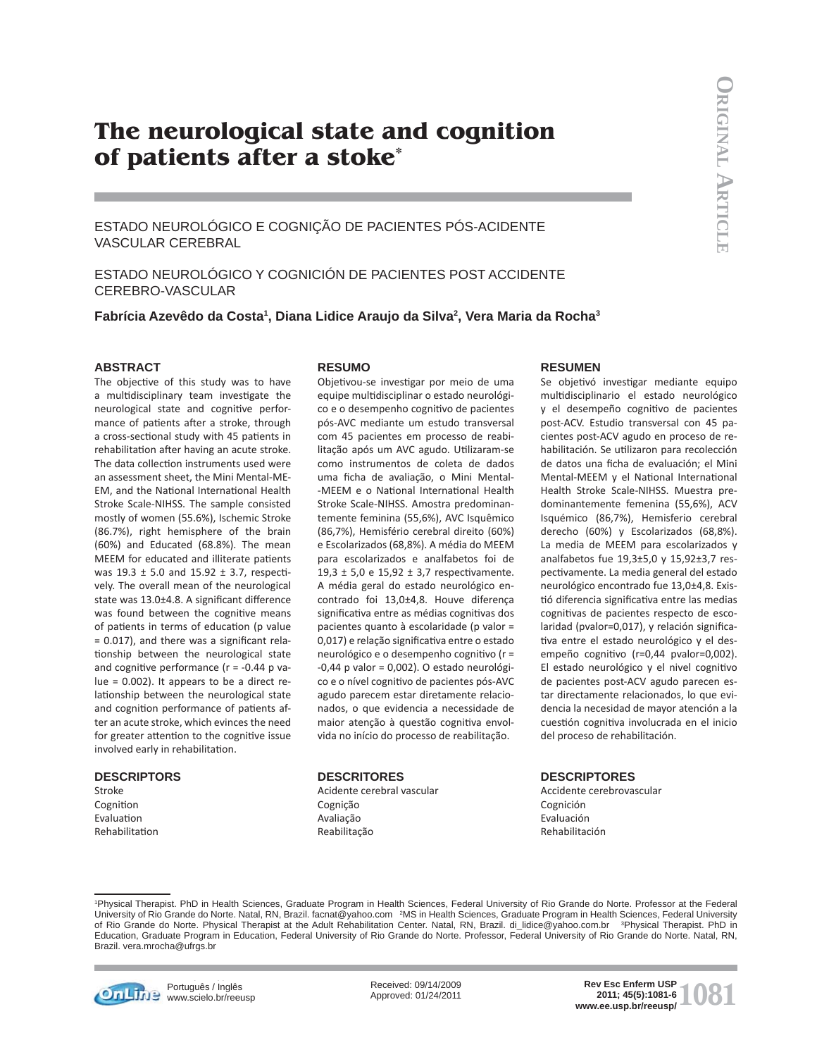# **The neurological state and cognition of patients after a stoke\***

ESTADO NEUROLÓGICO E COGNIÇÃO DE PACIENTES PÓS-ACIDENTE VASCULAR CEREBRAL

ESTADO NEUROLÓGICO Y COGNICIÓN DE PACIENTES POST ACCIDENTE CEREBRO-VASCULAR

**Fabrícia Azevêdo da Costa1 , Diana Lidice Araujo da Silva2 , Vera Maria da Rocha3**

## **ABSTRACT**

The objective of this study was to have a multidisciplinary team investigate the neurological state and cognitive performance of patients after a stroke, through a cross-sectional study with 45 patients in rehabilitation after having an acute stroke. The data collection instruments used were an assessment sheet, the Mini Mental-ME-EM, and the National International Health Stroke Scale-NIHSS. The sample consisted mostly of women (55.6%), Ischemic Stroke (86.7%), right hemisphere of the brain (60%) and Educated (68.8%). The mean MEEM for educated and illiterate patients was  $19.3 \pm 5.0$  and  $15.92 \pm 3.7$ , respectively. The overall mean of the neurological state was 13.0±4.8. A significant difference was found between the cognitive means of patients in terms of education (p value  $= 0.017$ ), and there was a significant relationship between the neurological state and cognitive performance ( $r = -0.44$  p value = 0.002). It appears to be a direct relationship between the neurological state and cognition performance of patients after an acute stroke, which evinces the need for greater attention to the cognitive issue involved early in rehabilitation.

#### **DESCRIPTORS**

Stroke Cognition Evaluation Rehabilitation

#### **RESUMO**

Objetivou-se investigar por meio de uma equipe multidisciplinar o estado neurológico e o desempenho cognitivo de pacientes pós-AVC mediante um estudo transversal com 45 pacientes em processo de reabilitação após um AVC agudo. Utilizaram-se como instrumentos de coleta de dados uma ficha de avaliação, o Mini Mental--MEEM e o National International Health Stroke Scale-NIHSS. Amostra predominantemente feminina (55,6%), AVC Isquêmico (86,7%), Hemisfério cerebral direito (60%) e Escolarizados (68,8%). A média do MEEM para escolarizados e analfabetos foi de 19,3  $\pm$  5,0 e 15,92  $\pm$  3,7 respectivamente. A média geral do estado neurológico encontrado foi 13,0±4,8. Houve diferença significativa entre as médias cognitivas dos pacientes quanto à escolaridade (p valor = 0,017) e relação significativa entre o estado neurológico e o desempenho cognitivo (r = -0,44 p valor = 0,002). O estado neurológico e o nível cognitivo de pacientes pós-AVC agudo parecem estar diretamente relacionados, o que evidencia a necessidade de maior atenção à questão cognitiva envolvida no início do processo de reabilitação.

#### **DESCRITORES**

Acidente cerebral vascular Cognição Avaliação Reabilitação

#### **RESUMEN**

Se objetivó investigar mediante equipo multi disciplinario el estado neurológico y el desempeño cognitivo de pacientes post-ACV. Estudio transversal con 45 pacientes post-ACV agudo en proceso de rehabilitación. Se utilizaron para recolección de datos una ficha de evaluación; el Mini Mental-MEEM y el National International Health Stroke Scale-NIHSS. Muestra predominantemente femenina (55,6%), ACV Isquémico (86,7%), Hemisferio cerebral derecho (60%) y Escolarizados (68,8%). La media de MEEM para escolarizados y analfabetos fue 19,3±5,0 y 15,92±3,7 respectivamente. La media general del estado neurológico encontrado fue 13,0±4,8. Existió diferencia significativa entre las medias cognitivas de pacientes respecto de escolaridad (pvalor=0,017), y relación significativa entre el estado neurológico y el desempeño cognitivo (r=0,44 pvalor=0,002). El estado neurológico y el nivel cognitivo de pacientes post-ACV agudo parecen estar directamente relacionados, lo que evidencia la necesidad de mayor atención a la cuestión cognitiva involucrada en el inicio del proceso de rehabilitación.

#### **DESCRIPTORES**

Accidente cerebrovascular Cognición Evaluación Rehabilitación

1 Physical Therapist. PhD in Health Sciences, Graduate Program in Health Sciences, Federal University of Rio Grande do Norte. Professor at the Federal University of Rio Grande do Norte. Natal, RN, Brazil. facnat@yahoo.com <sup>2</sup>MS in Health Sciences, Graduate Program in Health Sciences, Federal University of Rio Grande do Norte. Physical Therapist at the Adult Rehabilitation Center. Natal, RN, Brazil. di\_lidice@yahoo.com.br 3Physical Therapist. PhD in Education, Graduate Program in Education, Federal University of Rio Grande do Norte. Professor, Federal University of Rio Grande do Norte. Natal, RN, Brazil. vera.mrocha@ufrgs.br



**Português / Inglês** www.scielo.br/reeusp Received: 09/14/2009 Approved: 01/24/2011

**1081 Rev Esc Enferm USP**<br> **1081 Reviews**<br> **1081 Www.ee.usp.br/reeusp/ 2011; 45(5):1081-6**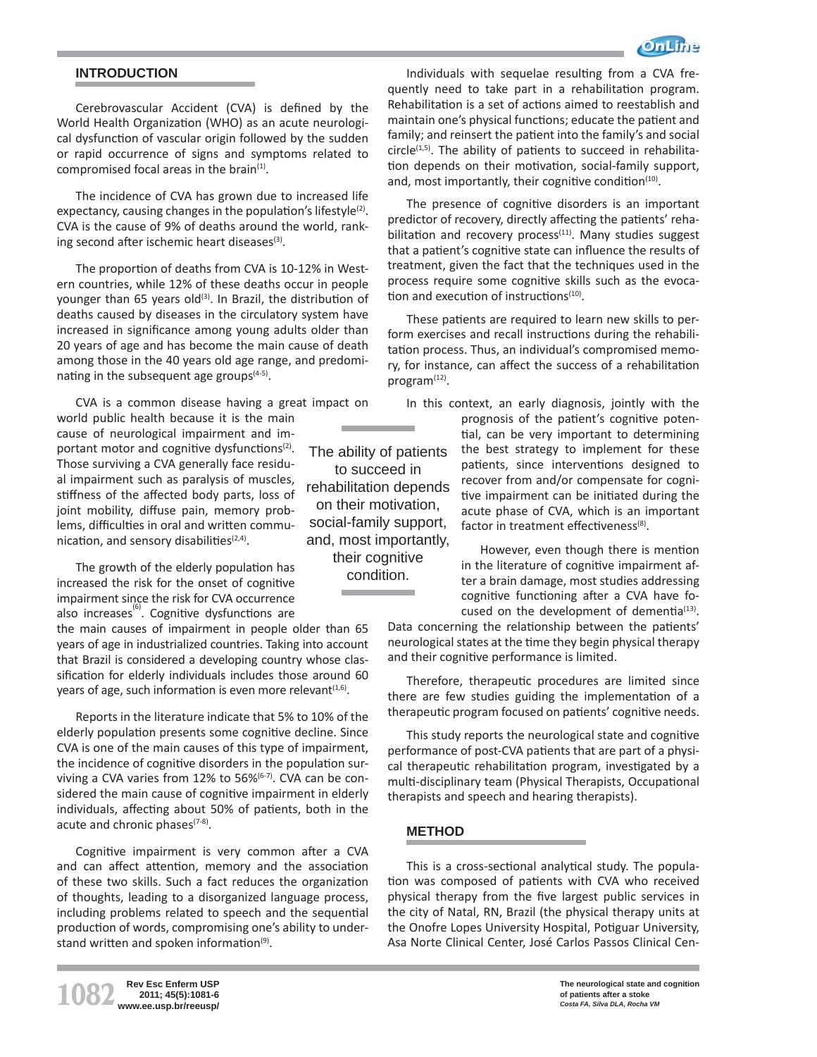

# **INTRODUCTION**

Cerebrovascular Accident (CVA) is defined by the World Health Organization (WHO) as an acute neurological dysfunction of vascular origin followed by the sudden or rapid occurrence of signs and symptoms related to compromised focal areas in the brain $<sup>(1)</sup>$ .</sup>

The incidence of CVA has grown due to increased life expectancy, causing changes in the population's lifestyle<sup>(2)</sup>. CVA is the cause of 9% of deaths around the world, ranking second after ischemic heart diseases<sup>(3)</sup>.

The proportion of deaths from CVA is 10-12% in Western countries, while 12% of these deaths occur in people younger than 65 years old $(3)$ . In Brazil, the distribution of deaths caused by diseases in the circulatory system have increased in significance among young adults older than 20 years of age and has become the main cause of death among those in the 40 years old age range, and predominating in the subsequent age groups $(4-5)$ .

CVA is a common disease having a great impact on world public health because it is the main cause of neurological impairment and important motor and cognitive dysfunctions<sup>(2)</sup>. Those surviving a CVA generally face residual impairment such as paralysis of muscles, stiffness of the affected body parts, loss of joint mobility, diffuse pain, memory problems, difficulties in oral and written communication, and sensory disabilities $(2,4)$ .

The growth of the elderly population has increased the risk for the onset of cognitive impairment since the risk for CVA occurrence also increases $^{(6)}$ . Cognitive dysfunctions are

the main causes of impairment in people older than 65 years of age in industrialized countries. Taking into account that Brazil is considered a developing country whose classification for elderly individuals includes those around 60 years of age, such information is even more relevant $(1,6)$ .

Reports in the literature indicate that 5% to 10% of the elderly population presents some cognitive decline. Since CVA is one of the main causes of this type of impairment, the incidence of cognitive disorders in the population surviving a CVA varies from  $12\%$  to  $56\%$ <sup> $(6-7)$ </sup>. CVA can be considered the main cause of cognitive impairment in elderly individuals, affecting about 50% of patients, both in the acute and chronic phases $(7-8)$ .

Cognitive impairment is very common after a CVA and can affect attention, memory and the association of these two skills. Such a fact reduces the organization of thoughts, leading to a disorganized language process, including problems related to speech and the sequential production of words, compromising one's ability to understand written and spoken information $(9)$ .

The ability of patients to succeed in rehabilitation depends on their motivation, social-family support, and, most importantly, their cognitive condition.

Individuals with sequelae resulting from a CVA frequently need to take part in a rehabilitation program. Rehabilitation is a set of actions aimed to reestablish and maintain one's physical functions; educate the patient and family; and reinsert the patient into the family's and social  $circle^{(1,5)}$ . The ability of patients to succeed in rehabilitation depends on their motivation, social-family support, and, most importantly, their cognitive condition $(10)$ .

The presence of cognitive disorders is an important predictor of recovery, directly affecting the patients' rehabilitation and recovery process $(11)$ . Many studies suggest that a patient's cognitive state can influence the results of treatment, given the fact that the techniques used in the process require some cognitive skills such as the evocation and execution of instructions $(10)$ .

These patients are required to learn new skills to perform exercises and recall instructions during the rehabilitation process. Thus, an individual's compromised memory, for instance, can affect the success of a rehabilitation program<sup>(12)</sup>.

In this context, an early diagnosis, jointly with the prognosis of the patient's cognitive potential, can be very important to determining the best strategy to implement for these patients, since interventions designed to recover from and/or compensate for cognitive impairment can be initiated during the acute phase of CVA, which is an important factor in treatment effectiveness $^{(8)}$ .

> However, even though there is mention in the literature of cognitive impairment after a brain damage, most studies addressing cognitive functioning after a CVA have focused on the development of dementia $(13)$ .

Data concerning the relationship between the patients' neurological states at the time they begin physical therapy and their cognitive performance is limited.

Therefore, therapeutic procedures are limited since there are few studies guiding the implementation of a therapeutic program focused on patients' cognitive needs.

This study reports the neurological state and cognitive performance of post-CVA patients that are part of a physical therapeutic rehabilitation program, investigated by a multi-disciplinary team (Physical Therapists, Occupational therapists and speech and hearing therapists).

# **METHOD**

This is a cross-sectional analytical study. The population was composed of patients with CVA who received physical therapy from the five largest public services in the city of Natal, RN, Brazil (the physical therapy units at the Onofre Lopes University Hospital, Potiguar University, Asa Norte Clinical Center, José Carlos Passos Clinical Cen-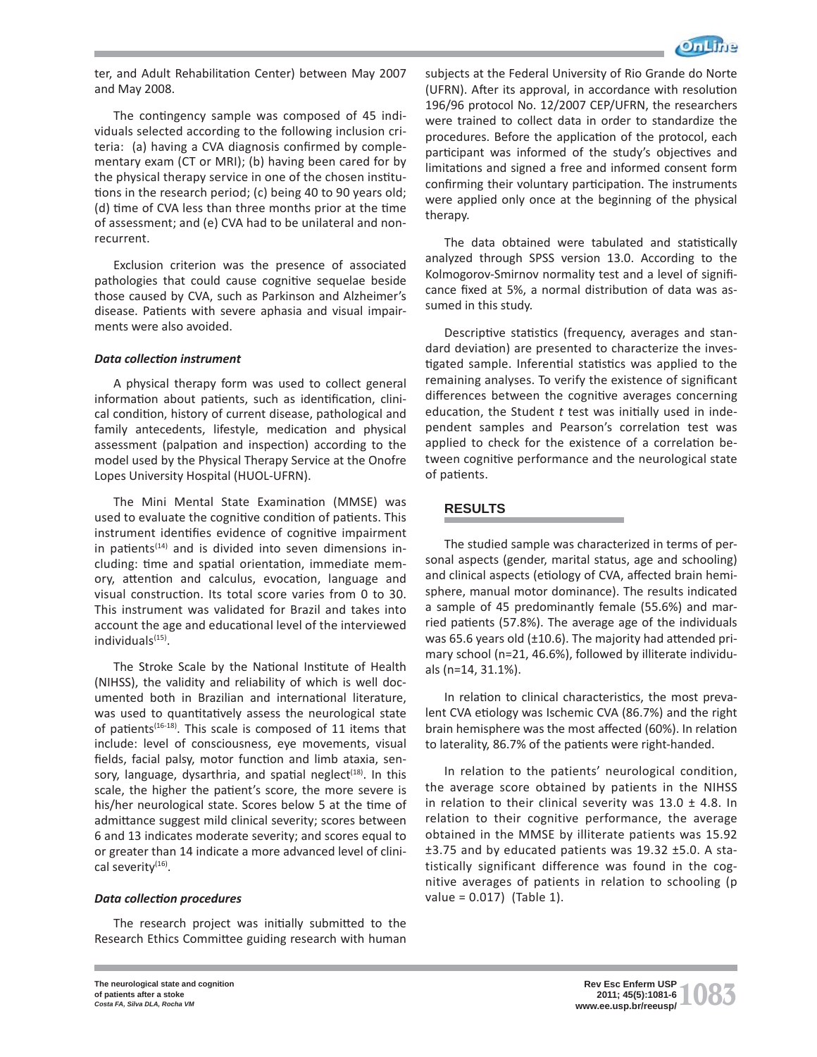

ter, and Adult Rehabilitation Center) between May 2007 and May 2008.

The contingency sample was composed of 45 individuals selected according to the following inclusion criteria: (a) having a CVA diagnosis confirmed by complementary exam (CT or MRI); (b) having been cared for by the physical therapy service in one of the chosen institutions in the research period; (c) being 40 to 90 years old; (d) time of CVA less than three months prior at the time of assessment; and (e) CVA had to be unilateral and nonrecurrent.

Exclusion criterion was the presence of associated pathologies that could cause cognitive sequelae beside those caused by CVA, such as Parkinson and Alzheimer's disease. Patients with severe aphasia and visual impairments were also avoided.

## *Data collection instrument*

A physical therapy form was used to collect general information about patients, such as identification, clinical condition, history of current disease, pathological and family antecedents, lifestyle, medication and physical assessment (palpation and inspection) according to the model used by the Physical Therapy Service at the Onofre Lopes University Hospital (HUOL-UFRN).

The Mini Mental State Examination (MMSE) was used to evaluate the cognitive condition of patients. This instrument identifies evidence of cognitive impairment in patients<sup> $(14)$ </sup> and is divided into seven dimensions including: time and spatial orientation, immediate memory, attention and calculus, evocation, language and visual construction. Its total score varies from 0 to 30. This instrument was validated for Brazil and takes into account the age and educational level of the interviewed individuals<sup>(15)</sup>.

The Stroke Scale by the National Institute of Health (NIHSS), the validity and reliability of which is well documented both in Brazilian and international literature, was used to quantitatively assess the neurological state of patients<sup>(16-18)</sup>. This scale is composed of 11 items that include: level of consciousness, eye movements, visual fields, facial palsy, motor function and limb ataxia, sensory, language, dysarthria, and spatial neglect<sup> $(18)$ </sup>. In this scale, the higher the patient's score, the more severe is his/her neurological state. Scores below 5 at the time of admittance suggest mild clinical severity; scores between 6 and 13 indicates moderate severity; and scores equal to or greater than 14 indicate a more advanced level of clinical severity<sup>(16)</sup>.

## *Data collecti on procedures*

The research project was initially submitted to the Research Ethics Committee guiding research with human subjects at the Federal University of Rio Grande do Norte (UFRN). After its approval, in accordance with resolution 196/96 protocol No. 12/2007 CEP/UFRN, the researchers were trained to collect data in order to standardize the procedures. Before the application of the protocol, each participant was informed of the study's objectives and limitations and signed a free and informed consent form confirming their voluntary participation. The instruments were applied only once at the beginning of the physical therapy.

The data obtained were tabulated and statistically analyzed through SPSS version 13.0. According to the Kolmogorov-Smirnov normality test and a level of significance fixed at 5%, a normal distribution of data was assumed in this study.

Descriptive statistics (frequency, averages and standard deviation) are presented to characterize the investigated sample. Inferential statistics was applied to the remaining analyses. To verify the existence of significant differences between the cognitive averages concerning education, the Student *t* test was initially used in independent samples and Pearson's correlation test was applied to check for the existence of a correlation between cognitive performance and the neurological state of patients.

# **RESULTS**

The studied sample was characterized in terms of personal aspects (gender, marital status, age and schooling) and clinical aspects (etiology of CVA, affected brain hemisphere, manual motor dominance). The results indicated a sample of 45 predominantly female (55.6%) and married patients (57.8%). The average age of the individuals was 65.6 years old  $(\pm 10.6)$ . The majority had attended primary school (n=21, 46.6%), followed by illiterate individuals (n=14, 31.1%).

In relation to clinical characteristics, the most prevalent CVA etiology was Ischemic CVA (86.7%) and the right brain hemisphere was the most affected (60%). In relation to laterality, 86.7% of the patients were right-handed.

In relation to the patients' neurological condition, the average score obtained by patients in the NIHSS in relation to their clinical severity was  $13.0 \pm 4.8$ . In relation to their cognitive performance, the average obtained in the MMSE by illiterate patients was 15.92 ±3.75 and by educated patients was 19.32 ±5.0. A statistically significant difference was found in the cognitive averages of patients in relation to schooling (p value = 0.017) (Table 1).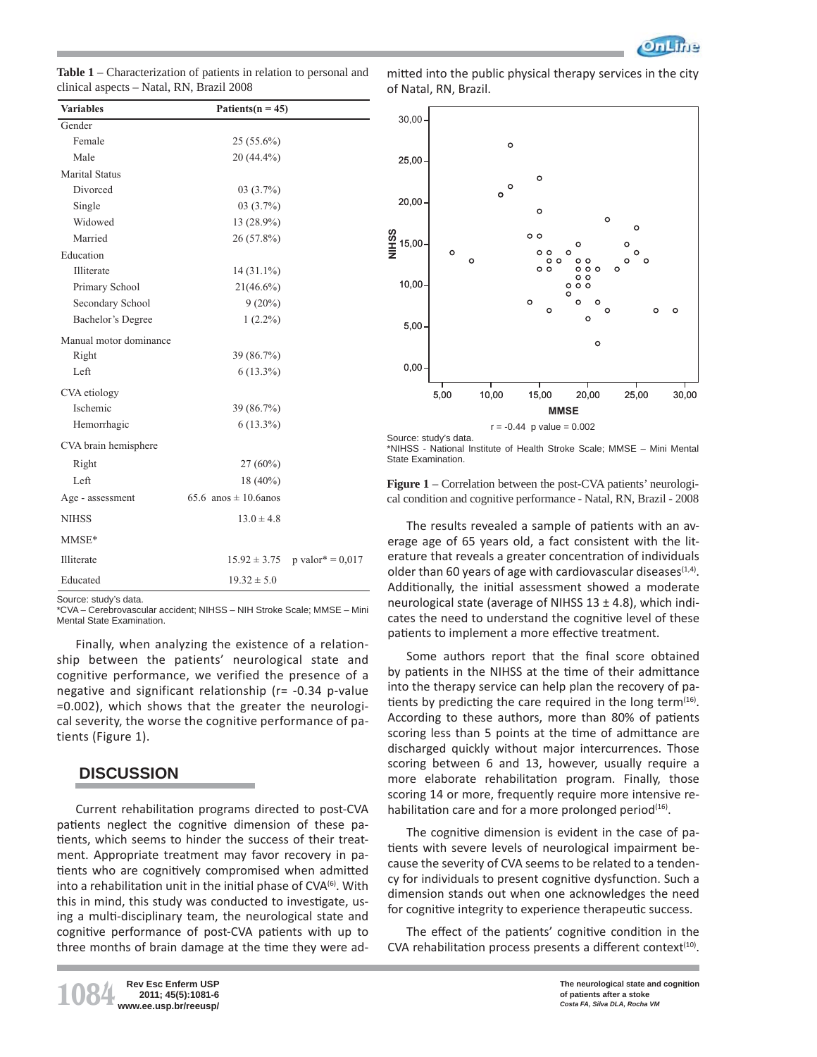

| <b>Table 1</b> – Characterization of patients in relation to personal and |
|---------------------------------------------------------------------------|
| clinical aspects – Natal, RN, Brazil 2008                                 |

| <b>Variables</b>       | Patients( $n = 45$ )      |                    |
|------------------------|---------------------------|--------------------|
| Gender                 |                           |                    |
| Female                 | $25(55.6\%)$              |                    |
| Male                   | 20 (44.4%)                |                    |
| <b>Marital Status</b>  |                           |                    |
| Divorced               | $03(3.7\%)$               |                    |
| Single                 | $03(3.7\%)$               |                    |
| Widowed                | 13 (28.9%)                |                    |
| Married                | 26 (57.8%)                |                    |
| Education              |                           |                    |
| Illiterate             | $14(31.1\%)$              |                    |
| Primary School         | $21(46.6\%)$              |                    |
| Secondary School       | $9(20\%)$                 |                    |
| Bachelor's Degree      | $1(2.2\%)$                |                    |
| Manual motor dominance |                           |                    |
| Right                  | 39 (86.7%)                |                    |
| Left                   | $6(13.3\%)$               |                    |
| CVA etiology           |                           |                    |
| Ischemic               | 39 (86.7%)                |                    |
| Hemorrhagic            | $6(13.3\%)$               |                    |
| CVA brain hemisphere   |                           |                    |
| Right                  | $27(60\%)$                |                    |
| Left                   | 18 (40%)                  |                    |
| Age - assessment       | 65.6 anos $\pm$ 10.6 anos |                    |
| <b>NIHSS</b>           | $13.0 \pm 4.8$            |                    |
| MMSE*                  |                           |                    |
| Illiterate             | $15.92 \pm 3.75$          | p valor* = $0,017$ |
| Educated               | $19.32 \pm 5.0$           |                    |

Source: study's data.

\*CVA – Cerebrovascular accident; NIHSS – NIH Stroke Scale; MMSE – Mini Mental State Examination.

Finally, when analyzing the existence of a relationship between the patients' neurological state and cognitive performance, we verified the presence of a negative and significant relationship (r= -0.34 p-value =0.002), which shows that the greater the neurological severity, the worse the cognitive performance of patients (Figure 1).

# **DISCUSSION**

Current rehabilitation programs directed to post-CVA patients neglect the cognitive dimension of these patients, which seems to hinder the success of their treatment. Appropriate treatment may favor recovery in patients who are cognitively compromised when admitted into a rehabilitation unit in the initial phase of  $CVA^{(6)}$ . With this in mind, this study was conducted to investigate, using a multi-disciplinary team, the neurological state and cognitive performance of post-CVA patients with up to three months of brain damage at the time they were admitted into the public physical therapy services in the city of Natal, RN, Brazil.



Source: study's data. \*NIHSS - National Institute of Health Stroke Scale; MMSE – Mini Mental State Examination.

**Figure 1** – Correlation between the post-CVA patients' neurological condition and cognitive performance - Natal, RN, Brazil - 2008

The results revealed a sample of patients with an average age of 65 years old, a fact consistent with the literature that reveals a greater concentration of individuals older than 60 years of age with cardiovascular diseases $(1,4)$ . Additionally, the initial assessment showed a moderate neurological state (average of NIHSS  $13 \pm 4.8$ ), which indicates the need to understand the cognitive level of these patients to implement a more effective treatment.

Some authors report that the final score obtained by patients in the NIHSS at the time of their admittance into the therapy service can help plan the recovery of patients by predicting the care required in the long term $(16)$ . According to these authors, more than 80% of patients scoring less than 5 points at the time of admittance are discharged quickly without major intercurrences. Those scoring between 6 and 13, however, usually require a more elaborate rehabilitation program. Finally, those scoring 14 or more, frequently require more intensive rehabilitation care and for a more prolonged period $(16)$ .

The cognitive dimension is evident in the case of patients with severe levels of neurological impairment because the severity of CVA seems to be related to a tendency for individuals to present cognitive dysfunction. Such a dimension stands out when one acknowledges the need for cognitive integrity to experience therapeutic success.

The effect of the patients' cognitive condition in the CVA rehabilitation process presents a different context $(10)$ .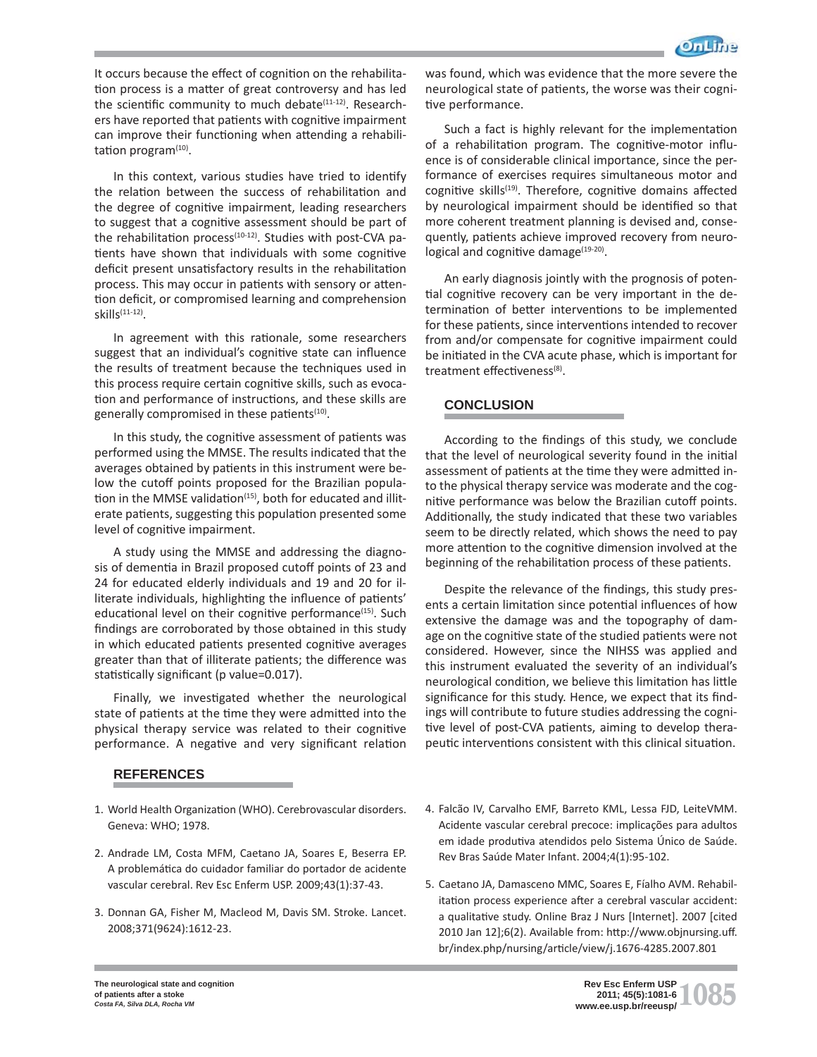

It occurs because the effect of cognition on the rehabilitation process is a matter of great controversy and has led the scientific community to much debate<sup>(11-12)</sup>. Researchers have reported that patients with cognitive impairment can improve their functioning when attending a rehabilitation program $(10)$ .

In this context, various studies have tried to identify the relation between the success of rehabilitation and the degree of cognitive impairment, leading researchers to suggest that a cognitive assessment should be part of the rehabilitation process $(10-12)$ . Studies with post-CVA patients have shown that individuals with some cognitive deficit present unsatisfactory results in the rehabilitation process. This may occur in patients with sensory or attention deficit, or compromised learning and comprehension skills<sup>(11-12)</sup>.

In agreement with this rationale, some researchers suggest that an individual's cognitive state can influence the results of treatment because the techniques used in this process require certain cognitive skills, such as evocation and performance of instructions, and these skills are generally compromised in these patients<sup>(10)</sup>.

In this study, the cognitive assessment of patients was performed using the MMSE. The results indicated that the averages obtained by patients in this instrument were below the cutoff points proposed for the Brazilian population in the MMSE validation<sup>(15)</sup>, both for educated and illiterate patients, suggesting this population presented some level of cognitive impairment.

A study using the MMSE and addressing the diagnosis of dementia in Brazil proposed cutoff points of 23 and 24 for educated elderly individuals and 19 and 20 for illiterate individuals, highlighting the influence of patients' educational level on their cognitive performance<sup> $(15)$ </sup>. Such findings are corroborated by those obtained in this study in which educated patients presented cognitive averages greater than that of illiterate patients; the difference was statistically significant (p value=0.017).

Finally, we investigated whether the neurological state of patients at the time they were admitted into the physical therapy service was related to their cognitive performance. A negative and very significant relation

# **REFERENCES**

- 1. World Health Organization (WHO). Cerebrovascular disorders. Geneva: WHO; 1978.
- 2. Andrade LM, Costa MFM, Caetano JA, Soares E, Beserra EP. A problemática do cuidador familiar do portador de acidente vascular cerebral. Rev Esc Enferm USP. 2009;43(1):37-43.
- 3. Donnan GA, Fisher M, Macleod M, Davis SM. Stroke. Lancet. 2008;371(9624):1612-23.

was found, which was evidence that the more severe the neurological state of patients, the worse was their cognitive performance.

Such a fact is highly relevant for the implementation of a rehabilitation program. The cognitive-motor influence is of considerable clinical importance, since the performance of exercises requires simultaneous motor and cognitive skills<sup>(19)</sup>. Therefore, cognitive domains affected by neurological impairment should be identified so that more coherent treatment planning is devised and, consequently, patients achieve improved recovery from neurological and cognitive damage<sup>(19-20)</sup>.

An early diagnosis jointly with the prognosis of potential cognitive recovery can be very important in the determination of better interventions to be implemented for these patients, since interventions intended to recover from and/or compensate for cognitive impairment could be initiated in the CVA acute phase, which is important for treatment effectiveness $(8)$ .

## **CONCLUSION**

According to the findings of this study, we conclude that the level of neurological severity found in the initial assessment of patients at the time they were admitted into the physical therapy service was moderate and the cognitive performance was below the Brazilian cutoff points. Additionally, the study indicated that these two variables seem to be directly related, which shows the need to pay more attention to the cognitive dimension involved at the beginning of the rehabilitation process of these patients.

Despite the relevance of the findings, this study presents a certain limitation since potential influences of how extensive the damage was and the topography of damage on the cognitive state of the studied patients were not considered. However, since the NIHSS was applied and this instrument evaluated the severity of an individual's neurological condition, we believe this limitation has little significance for this study. Hence, we expect that its findings will contribute to future studies addressing the cognitive level of post-CVA patients, aiming to develop therapeutic interventions consistent with this clinical situation.

- 4. Falcão IV, Carvalho EMF, Barreto KML, Lessa FJD, LeiteVMM. Acidente vascular cerebral precoce: implicações para adultos em idade produtiva atendidos pelo Sistema Único de Saúde. Rev Bras Saúde Mater Infant. 2004;4(1):95-102.
- 5. Caetano JA, Damasceno MMC, Soares E, Fíalho AVM. Rehabilitation process experience after a cerebral vascular accident: a qualitative study. Online Braz J Nurs [Internet]. 2007 [cited 2010 Jan 12];6(2). Available from: http://www.objnursing.uff. br/index.php/nursing/article/view/j.1676-4285.2007.801